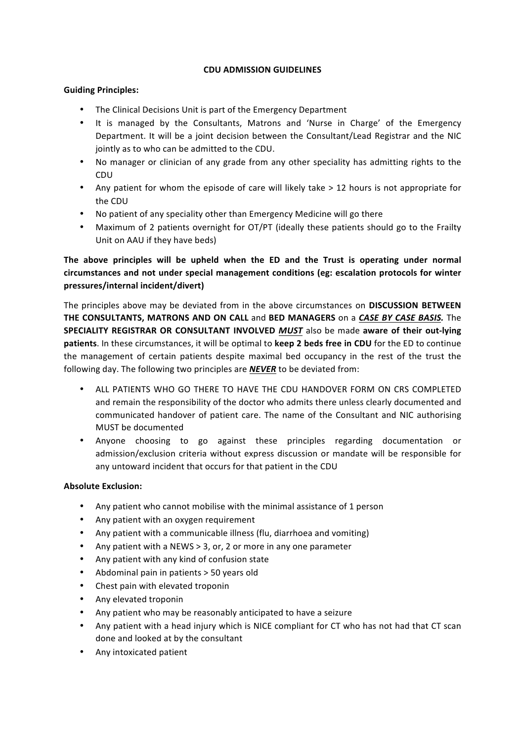### **CDU ADMISSION GUIDELINES**

### **Guiding Principles:**

- The Clinical Decisions Unit is part of the Emergency Department
- It is managed by the Consultants, Matrons and 'Nurse in Charge' of the Emergency Department. It will be a joint decision between the Consultant/Lead Registrar and the NIC jointly as to who can be admitted to the CDU.
- No manager or clinician of any grade from any other speciality has admitting rights to the CDU
- Any patient for whom the episode of care will likely take > 12 hours is not appropriate for the CDU
- No patient of any speciality other than Emergency Medicine will go there
- Maximum of 2 patients overnight for OT/PT (ideally these patients should go to the Frailty Unit on AAU if they have beds)

# The above principles will be upheld when the ED and the Trust is operating under normal **circumstances and not under special management conditions (eg: escalation protocols for winter pressures/internal incident/divert)**

The principles above may be deviated from in the above circumstances on **DISCUSSION BETWEEN THE CONSULTANTS, MATRONS AND ON CALL** and **BED MANAGERS** on a CASE BY CASE BASIS. The **SPECIALITY REGISTRAR OR CONSULTANT INVOLVED MUST** also be made aware of their out-lying **patients**. In these circumstances, it will be optimal to **keep 2 beds free in CDU** for the ED to continue the management of certain patients despite maximal bed occupancy in the rest of the trust the following day. The following two principles are **NEVER** to be deviated from:

- ALL PATIENTS WHO GO THERE TO HAVE THE CDU HANDOVER FORM ON CRS COMPLETED and remain the responsibility of the doctor who admits there unless clearly documented and communicated handover of patient care. The name of the Consultant and NIC authorising MUST be documented
- Anyone choosing to go against these principles regarding documentation or admission/exclusion criteria without express discussion or mandate will be responsible for any untoward incident that occurs for that patient in the CDU

## **Absolute Exclusion:**

- Any patient who cannot mobilise with the minimal assistance of 1 person
- Any patient with an oxygen requirement
- Any patient with a communicable illness (flu, diarrhoea and vomiting)
- Any patient with a NEWS  $> 3$ , or, 2 or more in any one parameter
- Any patient with any kind of confusion state
- Abdominal pain in patients > 50 years old
- Chest pain with elevated troponin
- Any elevated troponin
- Any patient who may be reasonably anticipated to have a seizure
- Any patient with a head injury which is NICE compliant for CT who has not had that CT scan done and looked at by the consultant
- Any intoxicated patient